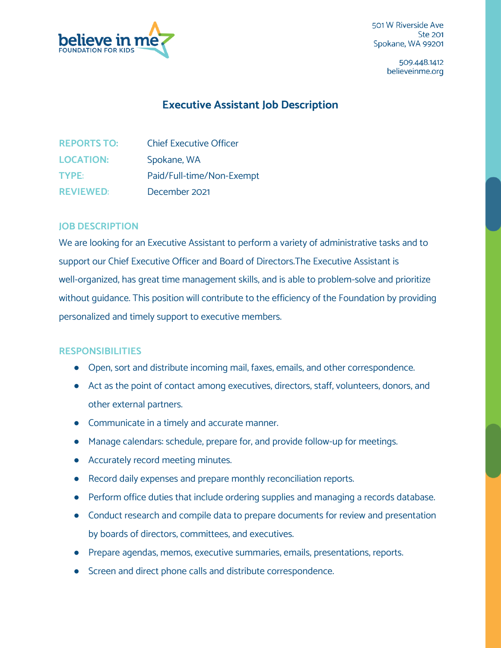

501 W Riverside Ave **Ste 201** Spokane, WA 99201

> 509.448.1412 believeinme.org

## **Executive Assistant Job Description**

| <b>REPORTS TO:</b> | <b>Chief Executive Officer</b> |
|--------------------|--------------------------------|
| <b>LOCATION:</b>   | Spokane, WA                    |
| <b>TYPE:</b>       | Paid/Full-time/Non-Exempt      |
| <b>REVIEWED:</b>   | December 2021                  |

## **JOB DESCRIPTION**

We are looking for an Executive Assistant to perform a variety of administrative tasks and to support our Chief Executive Officer and Board of Directors.The Executive Assistant is well-organized, has great time management skills, and is able to problem-solve and prioritize without guidance. This position will contribute to the efficiency of the Foundation by providing personalized and timely support to executive members.

## **RESPONSIBILITIES**

- Open, sort and distribute incoming mail, faxes, emails, and other correspondence.
- Act as the point of contact among executives, directors, staff, volunteers, donors, and other external partners.
- Communicate in a timely and accurate manner.
- Manage calendars: schedule, prepare for, and provide follow-up for meetings.
- Accurately record meeting minutes.
- Record daily expenses and prepare monthly reconciliation reports.
- Perform office duties that include ordering supplies and managing a records database.
- Conduct research and compile data to prepare documents for review and presentation by boards of directors, committees, and executives.
- Prepare agendas, memos, executive summaries, emails, presentations, reports.
- Screen and direct phone calls and distribute correspondence.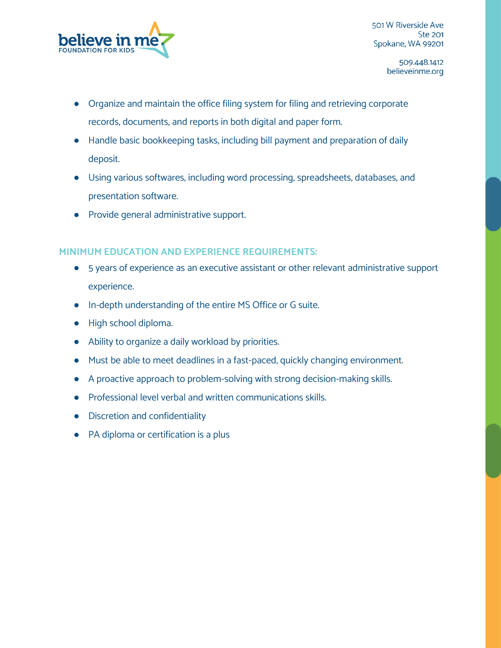

501 W Riverside Ave **Ste 201** Spokane, WA 99201

> 509.448.1412 believeinme.org

- Organize and maintain the office filing system for filing and retrieving corporate records, documents, and reports in both digital and paper form.
- Handle basic bookkeeping tasks, including bill payment and preparation of daily deposit.
- Using various softwares, including word processing, spreadsheets, databases, and presentation software.
- Provide general administrative support.

## **MINIMUM EDUCATION AND EXPERIENCE REQUIREMENTS:**

- 5 years of experience as an executive assistant or other relevant administrative support experience.
- In-depth understanding of the entire MS Office or G suite.
- High school diploma.
- Ability to organize a daily workload by priorities.
- Must be able to meet deadlines in a fast-paced, quickly changing environment.
- A proactive approach to problem-solving with strong decision-making skills.
- Professional level verbal and written communications skills.
- Discretion and confidentiality
- PA diploma or certification is a plus